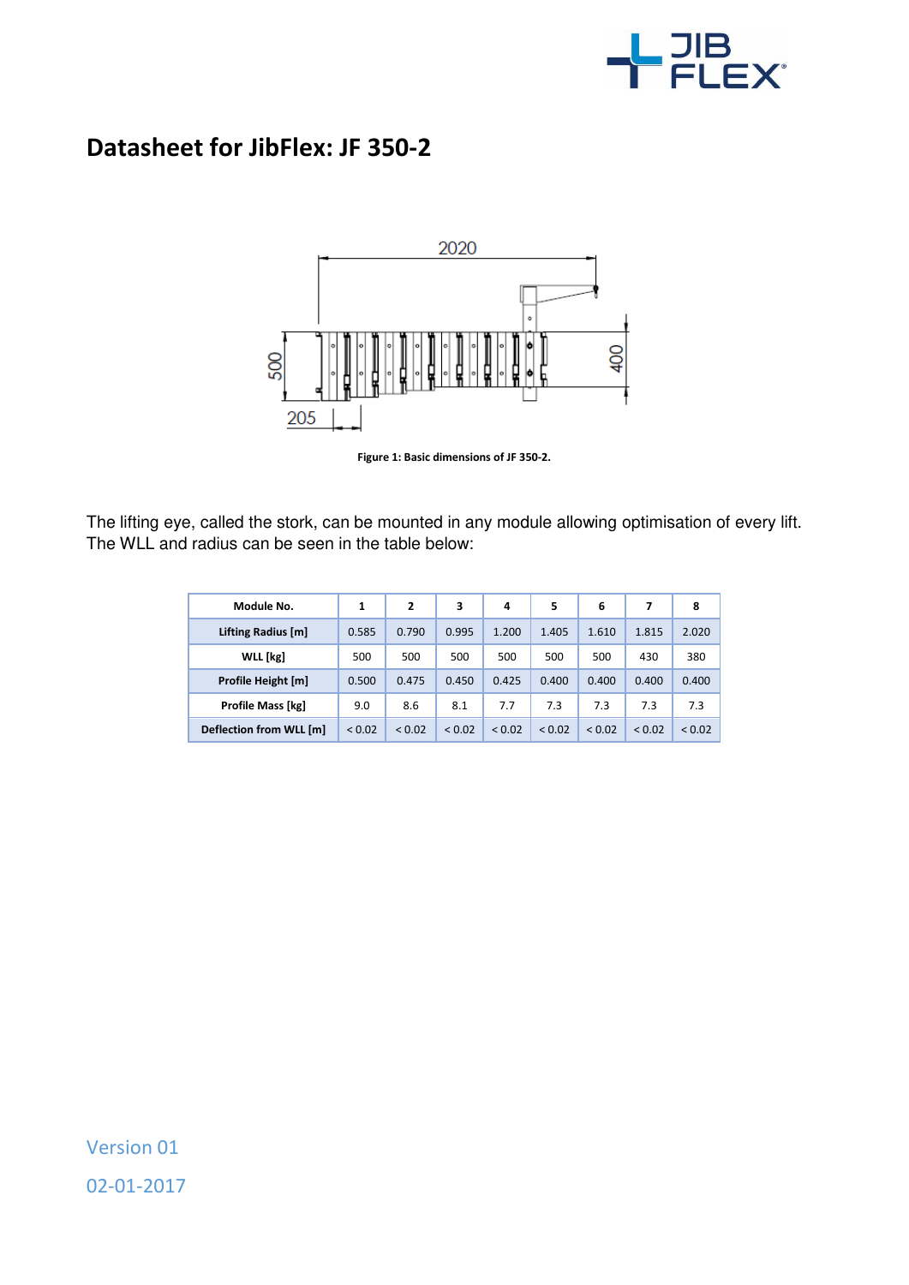

## **Datasheet for JibFlex: JF 350-2**



**Figure 1: Basic dimensions of JF 350-2.** 

The lifting eye, called the stork, can be mounted in any module allowing optimisation of every lift. The WLL and radius can be seen in the table below:

| Module No.              | 1      | 2           | 3      | 4      | 5      | 6      |             | 8      |
|-------------------------|--------|-------------|--------|--------|--------|--------|-------------|--------|
| Lifting Radius [m]      | 0.585  | 0.790       | 0.995  | 1.200  | 1.405  | 1.610  | 1.815       | 2.020  |
| WLL [kg]                | 500    | 500         | 500    | 500    | 500    | 500    | 430         | 380    |
| Profile Height [m]      | 0.500  | 0.475       | 0.450  | 0.425  | 0.400  | 0.400  | 0.400       | 0.400  |
| Profile Mass [kg]       | 9.0    | 8.6         | 8.1    | 7.7    | 7.3    | 7.3    | 7.3         | 7.3    |
| Deflection from WLL [m] | < 0.02 | ${}_{0.02}$ | < 0.02 | < 0.02 | < 0.02 | < 0.02 | ${}_{0.02}$ | < 0.02 |